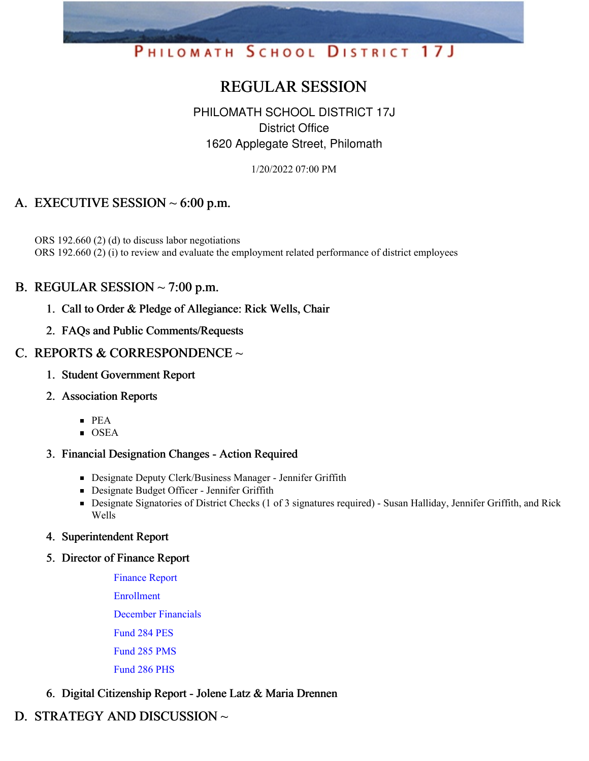# PHILOMATH SCHOOL DISTRICT 17J

## REGULAR SESSION

## PHILOMATH SCHOOL DISTRICT 17J District Office 1620 Applegate Street, Philomath

1/20/2022 07:00 PM

## A. EXECUTIVE SESSION  $\sim$  6:00 p.m.

ORS 192.660 (2) (d) to discuss labor negotiations ORS 192.660 (2) (i) to review and evaluate the employment related performance of district employees

## B. REGULAR SESSION  $\sim$  7:00 p.m.

- 1. Call to Order & Pledge of Allegiance: Rick Wells, Chair
- 2. FAQs and Public Comments/Requests

## C. REPORTS & CORRESPONDENCE ~

- 1. Student Government Report
- 2. Association Reports
	- $\blacksquare$  PEA
	- $\overline{\text{OSEA}}$

#### 3. Financial Designation Changes - Action Required

- **Designate Deputy Clerk/Business Manager Jennifer Griffith**
- **Designate Budget Officer Jennifer Griffith**
- Designate Signatories of District Checks (1 of 3 signatures required) Susan Halliday, Jennifer Griffith, and Rick Wells
- 4. Superintendent Report
- 5. Director of Finance Report

[Finance](https://app.eduportal.com/documents/view/820313) Report [Enrollment](https://app.eduportal.com/documents/view/820306) [December](https://app.eduportal.com/documents/view/820316) Financials [Fund](https://app.eduportal.com/documents/view/820309) 284 PES

[Fund](https://app.eduportal.com/documents/view/820307) 285 PMS

[Fund](https://app.eduportal.com/documents/view/820308) 286 PHS

#### 6. Digital Citizenship Report - Jolene Latz & Maria Drennen

## D. STRATEGY AND DISCUSSION ~